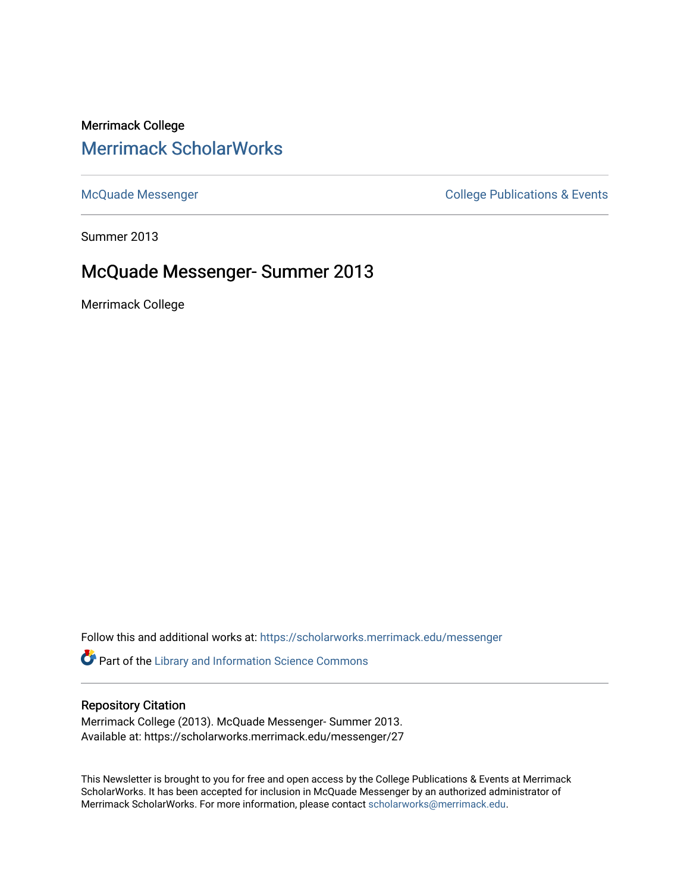# Merrimack College [Merrimack ScholarWorks](https://scholarworks.merrimack.edu/)

[McQuade Messenger](https://scholarworks.merrimack.edu/messenger) College Publications & Events

Summer 2013

## McQuade Messenger- Summer 2013

Merrimack College

Follow this and additional works at: [https://scholarworks.merrimack.edu/messenger](https://scholarworks.merrimack.edu/messenger?utm_source=scholarworks.merrimack.edu%2Fmessenger%2F27&utm_medium=PDF&utm_campaign=PDFCoverPages) 

Part of the [Library and Information Science Commons](http://network.bepress.com/hgg/discipline/1018?utm_source=scholarworks.merrimack.edu%2Fmessenger%2F27&utm_medium=PDF&utm_campaign=PDFCoverPages) 

### Repository Citation

Merrimack College (2013). McQuade Messenger- Summer 2013. Available at: https://scholarworks.merrimack.edu/messenger/27

This Newsletter is brought to you for free and open access by the College Publications & Events at Merrimack ScholarWorks. It has been accepted for inclusion in McQuade Messenger by an authorized administrator of Merrimack ScholarWorks. For more information, please contact [scholarworks@merrimack.edu](mailto:scholarworks@merrimack.edu).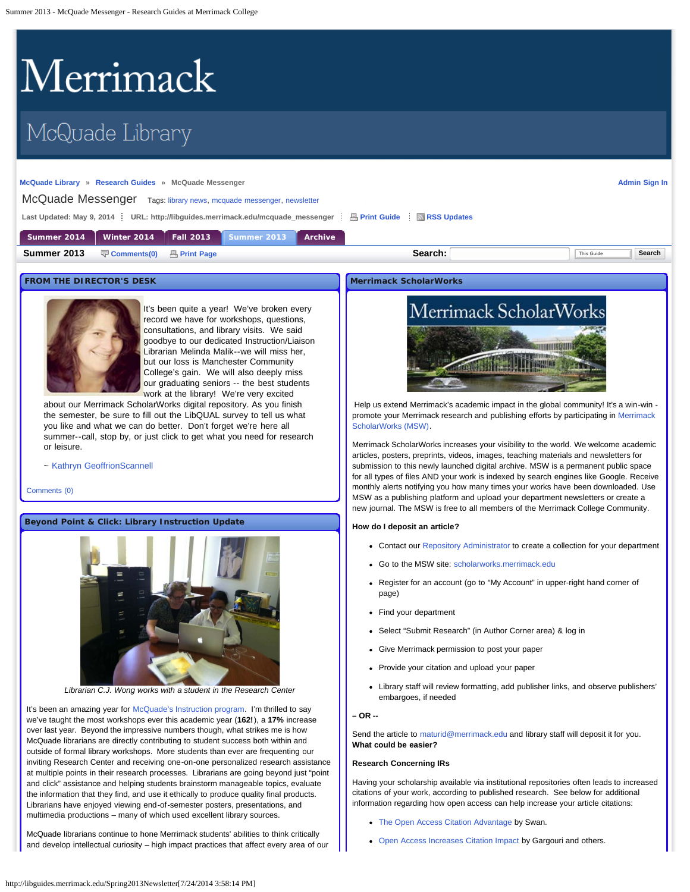# <span id="page-1-0"></span>Merrimack

# McQuade Library

#### **[McQuade Library](http://www.merrimack.edu/library) » [Research Guides](http://libguides.merrimack.edu/index.php) » McQuade Messenger**

**[Admin Sign In](https://libguides.com/login.php?iid=778&target=%2Faecontent.php%3Fpid%3D447275%26sid%3D3665332)**

#### McQuade Messenger Tags: [library news](http://libguides.merrimack.edu/searchtags.php?iid=778&tag=library%20news), [mcquade messenger](http://libguides.merrimack.edu/searchtags.php?iid=778&tag=mcquade%20messenger), newsletter

Last Updated: May 9, 2014 <sup>2</sup> URL: http://libguides.merrimack.edu/mcquade\_messenger <sup>2</sup> B [Print Guide](http://libguides.merrimack.edu/print_content.php?pid=447275&sid=3665332&mode=g) <sup>2</sup> [RSS Updates](#page-1-0)

| Summer 2014 | Winter 2014   | Fall 2013           | Summer 2013 | Archive |         |            |        |
|-------------|---------------|---------------------|-------------|---------|---------|------------|--------|
| Summer 2013 | 导 Comments(0) | <b>A</b> Print Page |             |         | Search: | This Guide | Search |

#### **FROM THE DIRECTOR'S DESK**



It's been quite a year! We've broken every record we have for workshops, questions, consultations, and library visits. We said goodbye to our dedicated Instruction/Liaison Librarian Melinda Malik--we will miss her, but our loss is Manchester Community College's gain. We will also deeply miss our graduating seniors -- the best students work at the library! We're very excited

about our Merrimack ScholarWorks digital repository. As you finish the semester, be sure to fill out the LibQUAL survey to tell us what you like and what we can do better. Don't forget we're here all summer--call, stop by, or just click to get what you need for research or leisure.

~ [Kathryn GeoffrionScannell](mailto:%20geoffrionscannellk@merrimack.edu)

#### [Comments \(0\)](#page-1-0)

#### **Beyond Point & Click: Library Instruction Update**



*Librarian C.J. Wong works with a student in the Research Center*

It's been an amazing year for [McQuade's Instruction program](http://libguides.merrimack.edu/information_literacy). I'm thrilled to say we've taught the most workshops ever this academic year (**162!**), a **17%** increase over last year. Beyond the impressive numbers though, what strikes me is how McQuade librarians are directly contributing to student success both within and outside of formal library workshops. More students than ever are frequenting our inviting Research Center and receiving one-on-one personalized research assistance at multiple points in their research processes. Librarians are going beyond just "point and click" assistance and helping students brainstorm manageable topics, evaluate the information that they find, and use it ethically to produce quality final products. Librarians have enjoyed viewing end-of-semester posters, presentations, and multimedia productions – many of which used excellent library sources.

McQuade librarians continue to hone Merrimack students' abilities to think critically and develop intellectual curiosity – high impact practices that affect every area of our

#### **Merrimack ScholarWorks**



Help us extend Merrimack's academic impact in the global community! It's a win-win promote your Merrimack research and publishing efforts by participating in [Merrimack](http://scholarworks.merrimack.edu/) [ScholarWorks \(MSW\)](http://scholarworks.merrimack.edu/).

Merrimack ScholarWorks increases your visibility to the world. We welcome academic articles, posters, preprints, videos, images, teaching materials and newsletters for submission to this newly launched digital archive. MSW is a permanent public space for all types of files AND your work is indexed by search engines like Google. Receive monthly alerts notifying you how many times your works have been downloaded. Use MSW as a publishing platform and upload your department newsletters or create a new journal. The MSW is free to all members of the Merrimack College Community.

#### **How do I deposit an article?**

- Contact our [Repository Administrator](mailto:%20maturid@merrimack.edu) to create a collection for your department
- Go to the MSW site: [scholarworks.merrimack.edu](http://scholarworks.merrimack.edu/)
- Register for an account (go to "My Account" in upper-right hand corner of page)
- Find your department
- Select "Submit Research" (in Author Corner area) & log in
- Give Merrimack permission to post your paper
- Provide your citation and upload your paper
- Library staff will review formatting, add publisher links, and observe publishers' embargoes, if needed

**– OR --**

Send the article to [maturid@merrimack.edu](mailto:%20maturid@merrimack.edu) and library staff will deposit it for you. **What could be easier?**

#### **Research Concerning IRs**

Having your scholarship available via institutional repositories often leads to increased citations of your work, according to published research. See below for additional information regarding how open access can help increase your article citations:

- [The Open Access Citation Advantage](http://works.bepress.com/ir_research/31/) by Swan.
- [Open Access Increases Citation Impact](http://www.plosone.org/article/info:doi/10.1371/journal.pone.0013636) by Gargouri and others.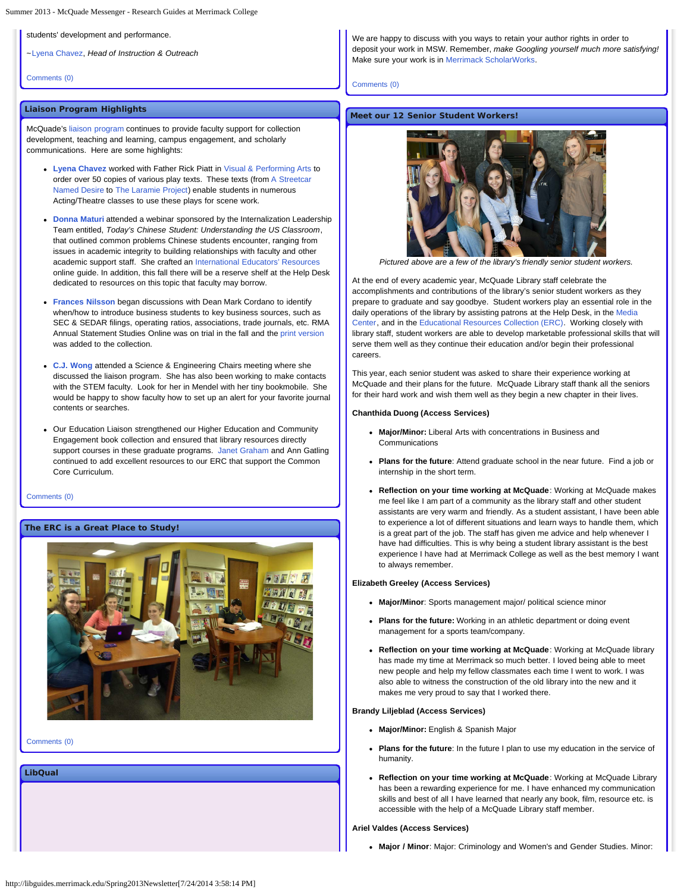students' development and performance.

~[Lyena Chavez](mailto:%20chavezl@merrimack.edu), *Head of Instruction & Outreach*

[Comments \(0\)](#page-1-0)

#### **Liaison Program Highlights**

McQuade's [liaison program](http://libguides.merrimack.edu/content.php?pid=120843&sid=3087257) continues to provide faculty support for collection development, teaching and learning, campus engagement, and scholarly communications. Here are some highlights:

- **[Lyena Chavez](http://libguides.merrimack.edu/profile.php?uid=15706)** worked with Father Rick Piatt in [Visual & Performing Arts](http://www.merrimack.edu/academics/liberal_arts/visualandperformingarts/) to order over 50 copies of various play texts. These texts (from [A Streetcar](http://merrimack.noblenet.org/eg/opac/record/2670821) [Named Desire](http://merrimack.noblenet.org/eg/opac/record/2670821) to [The Laramie Project\)](http://merrimack.noblenet.org/eg/opac/record/2015067) enable students in numerous Acting/Theatre classes to use these plays for scene work.
- **[Donna Maturi](http://libguides.merrimack.edu/profile.php?uid=15707)** attended a webinar sponsored by the Internalization Leadership Team entitled, *Today's Chinese Student: Understanding the US Classroom*, that outlined common problems Chinese students encounter, ranging from issues in academic integrity to building relationships with faculty and other academic support staff. She crafted an [International Educators' Resources](http://libguides.merrimack.edu/content.php?pid=120843&sid=3711660) online guide. In addition, this fall there will be a reserve shelf at the Help Desk dedicated to resources on this topic that faculty may borrow.
- **[Frances Nilsson](http://libguides.merrimack.edu/profile.php?uid=47640)** began discussions with Dean Mark Cordano to identify when/how to introduce business students to key business sources, such as SEC & SEDAR filings, operating ratios, associations, trade journals, etc. RMA Annual Statement Studies Online was on trial in the fall and the [print version](http://merrimack.noblenet.org/eg/opac/record/3243462) was added to the collection.
- **[C.J. Wong](http://libguides.merrimack.edu/profile.php?uid=69302)** attended a Science & Engineering Chairs meeting where she discussed the liaison program. She has also been working to make contacts with the STEM faculty. Look for her in Mendel with her tiny bookmobile. She would be happy to show faculty how to set up an alert for your favorite journal contents or searches.
- Our Education Liaison strengthened our Higher Education and Community Engagement book collection and ensured that library resources directly support courses in these graduate programs. [Janet Graham](mailto:%20grahamj@merrimack.edu) and Ann Gatling continued to add excellent resources to our ERC that support the Common Core Curriculum.

#### [Comments \(0\)](#page-1-0)

#### **The ERC is a Great Place to Study!**



[Comments \(0\)](#page-1-0)

**LibQual**

We are happy to discuss with you ways to retain your author rights in order to deposit your work in MSW. Remember, *make Googling yourself much more satisfying!* Make sure your work is in [Merrimack ScholarWorks.](http://scholarworks.merrimack.edu/)

[Comments \(0\)](#page-1-0)

#### **Meet our 12 Senior Student Workers!**



*Pictured above are a few of the library's friendly senior student workers.*

At the end of every academic year, McQuade Library staff celebrate the accomplishments and contributions of the library's senior student workers as they prepare to graduate and say goodbye. Student workers play an essential role in the daily operations of the library by assisting patrons at the Help Desk, in the [Media](http://www.merrimack.edu/library/media_center.php) [Center,](http://www.merrimack.edu/library/media_center.php) and in the [Educational Resources Collection \(ERC\)](http://server1.noblenet.org/merrimack/blog2/). Working closely with library staff, student workers are able to develop marketable professional skills that will serve them well as they continue their education and/or begin their professional careers.

This year, each senior student was asked to share their experience working at McQuade and their plans for the future. McQuade Library staff thank all the seniors for their hard work and wish them well as they begin a new chapter in their lives.

#### **Chanthida Duong (Access Services)**

- **Major/Minor:** Liberal Arts with concentrations in Business and Communications
- **Plans for the future**: Attend graduate school in the near future. Find a job or internship in the short term.
- **Reflection on your time working at McQuade**: Working at McQuade makes me feel like I am part of a community as the library staff and other student assistants are very warm and friendly. As a student assistant, I have been able to experience a lot of different situations and learn ways to handle them, which is a great part of the job. The staff has given me advice and help whenever I have had difficulties. This is why being a student library assistant is the best experience I have had at Merrimack College as well as the best memory I want to always remember.

#### **Elizabeth Greeley (Access Services)**

- **Major/Minor**: Sports management major/ political science minor
- **Plans for the future:** Working in an athletic department or doing event management for a sports team/company.
- **Reflection on your time working at McQuade**: Working at McQuade library has made my time at Merrimack so much better. I loved being able to meet new people and help my fellow classmates each time I went to work. I was also able to witness the construction of the old library into the new and it makes me very proud to say that I worked there.

#### **Brandy Liljeblad (Access Services)**

- **Major/Minor:** English & Spanish Major
- **Plans for the future**: In the future I plan to use my education in the service of humanity.
- **Reflection on your time working at McQuade**: Working at McQuade Library has been a rewarding experience for me. I have enhanced my communication skills and best of all I have learned that nearly any book, film, resource etc. is accessible with the help of a McQuade Library staff member.

#### **Ariel Valdes (Access Services)**

**Major / Minor**: Major: Criminology and Women's and Gender Studies. Minor: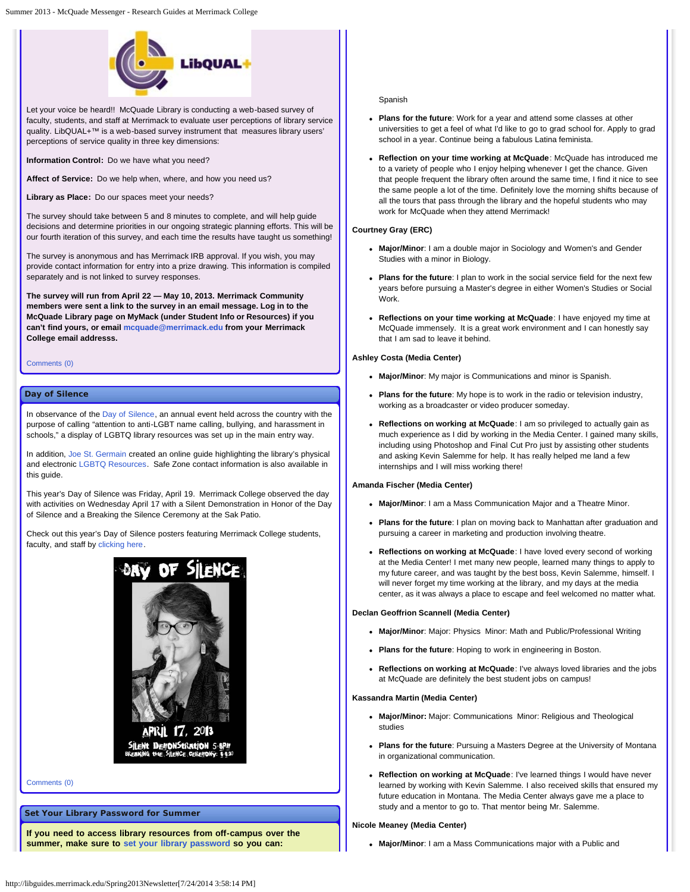

Let your voice be heard!! McQuade Library is conducting a web-based survey of faculty, students, and staff at Merrimack to evaluate user perceptions of library service quality. LibQUAL+™ is a web-based survey instrument that measures library users' perceptions of service quality in three key dimensions:

**Information Control:** Do we have what you need?

**Affect of Service:** Do we help when, where, and how you need us?

**Library as Place:** Do our spaces meet your needs?

The survey should take between 5 and 8 minutes to complete, and will help guide decisions and determine priorities in our ongoing strategic planning efforts. This will be our fourth iteration of this survey, and each time the results have taught us something!

The survey is anonymous and has Merrimack IRB approval. If you wish, you may provide contact information for entry into a prize drawing. This information is compiled separately and is not linked to survey responses.

**The survey will run from April 22 — May 10, 2013. Merrimack Community members were sent a link to the survey in an email message. Log in to the McQuade Library page on MyMack (under Student Info or Resources) if you can't find yours, or email [mcquade@merrimack.edu](mailto:%20mcquade@merrimack.edu) from your Merrimack College email addresss.**

[Comments \(0\)](#page-1-0)

#### **Day of Silence**

In observance of the [Day of Silence,](http://www.dayofsilence.org/) an annual event held across the country with the purpose of calling "attention to anti-LGBT name calling, bullying, and harassment in schools," a display of LGBTQ library resources was set up in the main entry way.

In addition, [Joe St. Germain](mailto:%20germainj@merrimack.edu) created an online guide highlighting the library's physical and electronic [LGBTQ Resources](http://libguides.merrimack.edu/lgbtq). Safe Zone contact information is also available in this guide.

This year's Day of Silence was Friday, April 19. Merrimack College observed the day with activities on Wednesday April 17 with a Silent Demonstration in Honor of the Day of Silence and a Breaking the Silence Ceremony at the Sak Patio.

Check out this year's Day of Silence posters featuring Merrimack College students, faculty, and staff by [clicking here](http://merrimack.smugmug.com/People/Day-of-Silence-2013/).



[Comments \(0\)](#page-1-0)

#### **Set Your Library Password for Summer**

**If you need to access library resources from off-campus over the summer, make sure to [set your library password](http://evergreen.noblenet.org/eg/opac/myopac/main) so you can:**

#### Spanish

- **Plans for the future**: Work for a year and attend some classes at other universities to get a feel of what I'd like to go to grad school for. Apply to grad school in a year. Continue being a fabulous Latina feminista.
- **Reflection on your time working at McQuade**: McQuade has introduced me to a variety of people who I enjoy helping whenever I get the chance. Given that people frequent the library often around the same time, I find it nice to see the same people a lot of the time. Definitely love the morning shifts because of all the tours that pass through the library and the hopeful students who may work for McQuade when they attend Merrimack!

#### **Courtney Gray (ERC)**

- **Major/Minor**: I am a double major in Sociology and Women's and Gender Studies with a minor in Biology.
- **Plans for the future**: I plan to work in the social service field for the next few years before pursuing a Master's degree in either Women's Studies or Social Work.
- **Reflections on your time working at McQuade**: I have enjoyed my time at McQuade immensely. It is a great work environment and I can honestly say that I am sad to leave it behind.

#### **Ashley Costa (Media Center)**

- **Major/Minor**: My major is Communications and minor is Spanish.
- **Plans for the future**: My hope is to work in the radio or television industry, working as a broadcaster or video producer someday.
- **Reflections on working at McQuade**: I am so privileged to actually gain as much experience as I did by working in the Media Center. I gained many skills, including using Photoshop and Final Cut Pro just by assisting other students and asking Kevin Salemme for help. It has really helped me land a few internships and I will miss working there!

#### **Amanda Fischer (Media Center)**

- **Major/Minor**: I am a Mass Communication Major and a Theatre Minor.
- **Plans for the future**: I plan on moving back to Manhattan after graduation and pursuing a career in marketing and production involving theatre.
- **Reflections on working at McQuade**: I have loved every second of working at the Media Center! I met many new people, learned many things to apply to my future career, and was taught by the best boss, Kevin Salemme, himself. I will never forget my time working at the library, and my days at the media center, as it was always a place to escape and feel welcomed no matter what.

#### **Declan Geoffrion Scannell (Media Center)**

- **Major/Minor**: Major: Physics Minor: Math and Public/Professional Writing
- **Plans for the future**: Hoping to work in engineering in Boston.
- **Reflections on working at McQuade**: I've always loved libraries and the jobs at McQuade are definitely the best student jobs on campus!

#### **Kassandra Martin (Media Center)**

- **Major/Minor:** Major: Communications Minor: Religious and Theological studies
- **Plans for the future**: Pursuing a Masters Degree at the University of Montana in organizational communication.
- **Reflection on working at McQuade**: I've learned things I would have never learned by working with Kevin Salemme. I also received skills that ensured my future education in Montana. The Media Center always gave me a place to study and a mentor to go to. That mentor being Mr. Salemme.

#### **Nicole Meaney (Media Center)**

**Major/Minor**: I am a Mass Communications major with a Public and